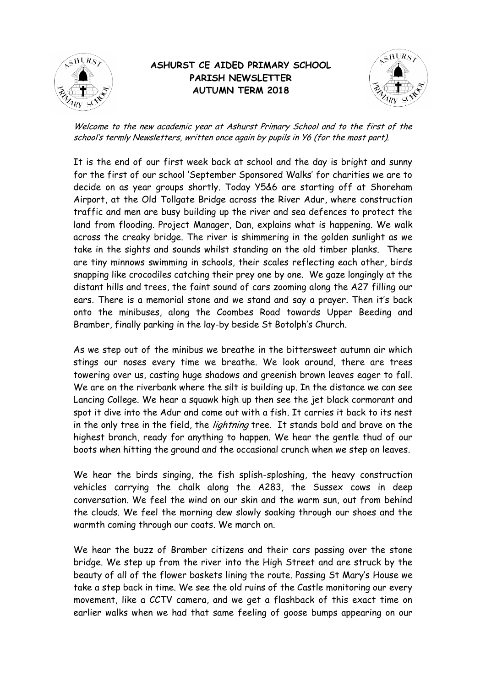

## **ASHURST CE AIDED PRIMARY SCHOOL PARISH NEWSLETTER AUTUMN TERM 2018**



Welcome to the new academic year at Ashurst Primary School and to the first of the school's termly Newsletters, written once again by pupils in Y6 (for the most part).

It is the end of our first week back at school and the day is bright and sunny for the first of our school 'September Sponsored Walks' for charities we are to decide on as year groups shortly. Today Y5&6 are starting off at Shoreham Airport, at the Old Tollgate Bridge across the River Adur, where construction traffic and men are busy building up the river and sea defences to protect the land from flooding. Project Manager, Dan, explains what is happening. We walk across the creaky bridge. The river is shimmering in the golden sunlight as we take in the sights and sounds whilst standing on the old timber planks. There are tiny minnows swimming in schools, their scales reflecting each other, birds snapping like crocodiles catching their prey one by one. We gaze longingly at the distant hills and trees, the faint sound of cars zooming along the A27 filling our ears. There is a memorial stone and we stand and say a prayer. Then it's back onto the minibuses, along the Coombes Road towards Upper Beeding and Bramber, finally parking in the lay-by beside St Botolph's Church.

As we step out of the minibus we breathe in the bittersweet autumn air which stings our noses every time we breathe. We look around, there are trees towering over us, casting huge shadows and greenish brown leaves eager to fall. We are on the riverbank where the silt is building up. In the distance we can see Lancing College. We hear a squawk high up then see the jet black cormorant and spot it dive into the Adur and come out with a fish. It carries it back to its nest in the only tree in the field, the *lightning* tree. It stands bold and brave on the highest branch, ready for anything to happen. We hear the gentle thud of our boots when hitting the ground and the occasional crunch when we step on leaves.

We hear the birds singing, the fish splish-sploshing, the heavy construction vehicles carrying the chalk along the A283, the Sussex cows in deep conversation. We feel the wind on our skin and the warm sun, out from behind the clouds. We feel the morning dew slowly soaking through our shoes and the warmth coming through our coats. We march on.

We hear the buzz of Bramber citizens and their cars passing over the stone bridge. We step up from the river into the High Street and are struck by the beauty of all of the flower baskets lining the route. Passing St Mary's House we take a step back in time. We see the old ruins of the Castle monitoring our every movement, like a CCTV camera, and we get a flashback of this exact time on earlier walks when we had that same feeling of goose bumps appearing on our